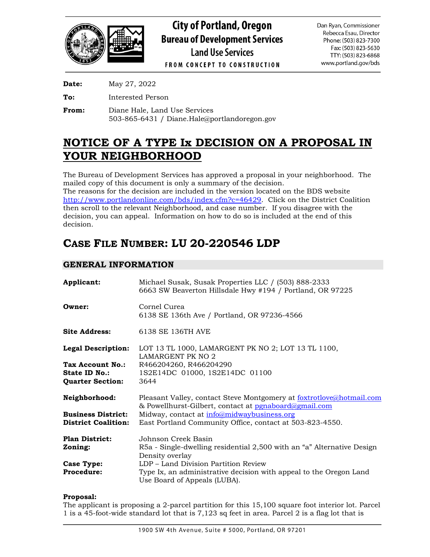

| <b>Date:</b> | May 27, 2022      |
|--------------|-------------------|
| To:          | Interested Person |

**From:** Diane Hale, Land Use Services 503-865-6431 / Diane.Hale@portlandoregon.gov

## **NOTICE OF A TYPE Ix DECISION ON A PROPOSAL IN YOUR NEIGHBORHOOD**

The Bureau of Development Services has approved a proposal in your neighborhood. The mailed copy of this document is only a summary of the decision. The reasons for the decision are included in the version located on the BDS website [http://www.portlandonline.com/bds/index.cfm?c=46429.](http://www.portlandonline.com/bds/index.cfm?c=46429) Click on the District Coalition then scroll to the relevant Neighborhood, and case number. If you disagree with the

decision, you can appeal. Information on how to do so is included at the end of this decision.

# **CASE FILE NUMBER: LU 20-220546 LDP**

## **GENERAL INFORMATION**

| Applicant:                 | Michael Susak, Susak Properties LLC / (503) 888-2333<br>6663 SW Beaverton Hillsdale Hwy #194 / Portland, OR 97225             |
|----------------------------|-------------------------------------------------------------------------------------------------------------------------------|
| Owner:                     | Cornel Curea<br>6138 SE 136th Ave / Portland, OR 97236-4566                                                                   |
| <b>Site Address:</b>       | 6138 SE 136TH AVE                                                                                                             |
| <b>Legal Description:</b>  | LOT 13 TL 1000, LAMARGENT PK NO 2; LOT 13 TL 1100,<br>LAMARGENT PK NO 2                                                       |
| Tax Account No.:           | R466204260, R466204290                                                                                                        |
| State ID No.:              | 1S2E14DC 01000, 1S2E14DC 01100                                                                                                |
| <b>Quarter Section:</b>    | 3644                                                                                                                          |
| Neighborhood:              | Pleasant Valley, contact Steve Montgomery at foxtrotlove@hotmail.com<br>& Powellhurst-Gilbert, contact at pgnaboard@gmail.com |
| <b>Business District:</b>  | Midway, contact at info@midwaybusiness.org                                                                                    |
| <b>District Coalition:</b> | East Portland Community Office, contact at 503-823-4550.                                                                      |
| <b>Plan District:</b>      | Johnson Creek Basin.                                                                                                          |
| Zoning:                    | R5a - Single-dwelling residential 2,500 with an "a" Alternative Design                                                        |
|                            | Density overlay                                                                                                               |
| <b>Case Type:</b>          | LDP – Land Division Partition Review                                                                                          |
| <b>Procedure:</b>          | Type Ix, an administrative decision with appeal to the Oregon Land<br>Use Board of Appeals (LUBA).                            |

## **Proposal:**

The applicant is proposing a 2-parcel partition for this 15,100 square foot interior lot. Parcel 1 is a 45-foot-wide standard lot that is 7,123 sq feet in area. Parcel 2 is a flag lot that is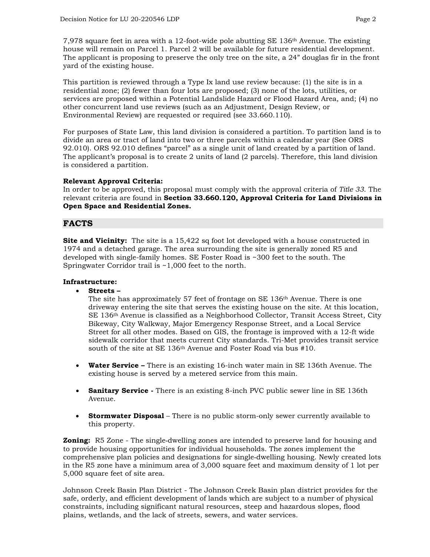7,978 square feet in area with a 12-foot-wide pole abutting SE 136th Avenue. The existing house will remain on Parcel 1. Parcel 2 will be available for future residential development. The applicant is proposing to preserve the only tree on the site, a 24" douglas fir in the front yard of the existing house.

This partition is reviewed through a Type Ix land use review because: (1) the site is in a residential zone; (2) fewer than four lots are proposed; (3) none of the lots, utilities, or services are proposed within a Potential Landslide Hazard or Flood Hazard Area, and; (4) no other concurrent land use reviews (such as an Adjustment, Design Review, or Environmental Review) are requested or required (see 33.660.110).

For purposes of State Law, this land division is considered a partition. To partition land is to divide an area or tract of land into two or three parcels within a calendar year (See ORS 92.010). ORS 92.010 defines "parcel" as a single unit of land created by a partition of land. The applicant's proposal is to create 2 units of land (2 parcels). Therefore, this land division is considered a partition.

## **Relevant Approval Criteria:**

In order to be approved, this proposal must comply with the approval criteria of *Title 33*. The relevant criteria are found in **Section 33.660.120, Approval Criteria for Land Divisions in Open Space and Residential Zones.**

## **FACTS**

**Site and Vicinity:** The site is a 15,422 sq foot lot developed with a house constructed in 1974 and a detached garage. The area surrounding the site is generally zoned R5 and developed with single-family homes. SE Foster Road is ~300 feet to the south. The Springwater Corridor trail is ~1,000 feet to the north.

#### **Infrastructure:**

• **Streets –**

The site has approximately 57 feet of frontage on SE 136th Avenue. There is one driveway entering the site that serves the existing house on the site. At this location, SE 136th Avenue is classified as a Neighborhood Collector, Transit Access Street, City Bikeway, City Walkway, Major Emergency Response Street, and a Local Service Street for all other modes. Based on GIS, the frontage is improved with a 12-ft wide sidewalk corridor that meets current City standards. Tri-Met provides transit service south of the site at SE 136th Avenue and Foster Road via bus #10.

- **Water Service –** There is an existing 16-inch water main in SE 136th Avenue. The existing house is served by a metered service from this main.
- **Sanitary Service** There is an existing 8-inch PVC public sewer line in SE 136th Avenue.
- **Stormwater Disposal** There is no public storm-only sewer currently available to this property.

**Zoning:** R5 Zone - The single-dwelling zones are intended to preserve land for housing and to provide housing opportunities for individual households. The zones implement the comprehensive plan policies and designations for single‐dwelling housing. Newly created lots in the R5 zone have a minimum area of 3,000 square feet and maximum density of 1 lot per 5,000 square feet of site area.

Johnson Creek Basin Plan District - The Johnson Creek Basin plan district provides for the safe, orderly, and efficient development of lands which are subject to a number of physical constraints, including significant natural resources, steep and hazardous slopes, flood plains, wetlands, and the lack of streets, sewers, and water services.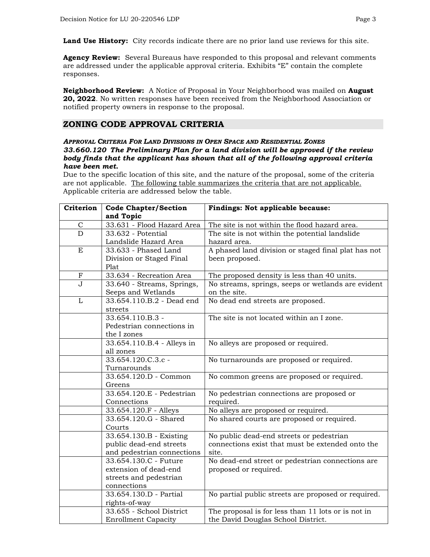**Land Use History:** City records indicate there are no prior land use reviews for this site.

**Agency Review:** Several Bureaus have responded to this proposal and relevant comments are addressed under the applicable approval criteria. Exhibits "E" contain the complete responses.

**Neighborhood Review:** A Notice of Proposal in Your Neighborhood was mailed on **August 20, 2022**. No written responses have been received from the Neighborhood Association or notified property owners in response to the proposal.

## **ZONING CODE APPROVAL CRITERIA**

#### *APPROVAL CRITERIA FOR LAND DIVISIONS IN OPEN SPACE AND RESIDENTIAL ZONES 33.660.120 The Preliminary Plan for a land division will be approved if the review body finds that the applicant has shown that all of the following approval criteria have been met.*

Due to the specific location of this site, and the nature of the proposal, some of the criteria are not applicable. The following table summarizes the criteria that are not applicable. Applicable criteria are addressed below the table.

| Criterion                 | <b>Code Chapter/Section</b> | Findings: Not applicable because:                   |
|---------------------------|-----------------------------|-----------------------------------------------------|
|                           | and Topic                   |                                                     |
| $\mathsf C$               | 33.631 - Flood Hazard Area  | The site is not within the flood hazard area.       |
| $\overline{D}$            | 33.632 - Potential          | The site is not within the potential landslide      |
|                           | Landslide Hazard Area       | hazard area.                                        |
| E                         | 33.633 - Phased Land        | A phased land division or staged final plat has not |
|                           | Division or Staged Final    | been proposed.                                      |
|                           | Plat                        |                                                     |
| $\boldsymbol{\mathrm{F}}$ | 33.634 - Recreation Area    | The proposed density is less than 40 units.         |
| $\overline{J}$            | 33.640 - Streams, Springs,  | No streams, springs, seeps or wetlands are evident  |
|                           | Seeps and Wetlands          | on the site.                                        |
| $\overline{L}$            | 33.654.110.B.2 - Dead end   | No dead end streets are proposed.                   |
|                           | streets                     |                                                     |
|                           | 33.654.110.B.3 -            | The site is not located within an I zone.           |
|                           | Pedestrian connections in   |                                                     |
|                           | the I zones                 |                                                     |
|                           | 33.654.110.B.4 - Alleys in  | No alleys are proposed or required.                 |
|                           | all zones                   |                                                     |
|                           | 33.654.120.C.3.c -          | No turnarounds are proposed or required.            |
|                           | Turnarounds                 |                                                     |
|                           | 33.654.120.D - Common       | No common greens are proposed or required.          |
|                           | Greens                      |                                                     |
|                           | 33.654.120.E - Pedestrian   | No pedestrian connections are proposed or           |
|                           | Connections                 | required.                                           |
|                           | 33.654.120.F - Alleys       | No alleys are proposed or required.                 |
|                           | 33.654.120.G - Shared       | No shared courts are proposed or required.          |
|                           | Courts                      |                                                     |
|                           | 33.654.130.B - Existing     | No public dead-end streets or pedestrian            |
|                           | public dead-end streets     | connections exist that must be extended onto the    |
|                           | and pedestrian connections  | site.                                               |
|                           | 33.654.130.C - Future       | No dead-end street or pedestrian connections are    |
|                           | extension of dead-end       | proposed or required.                               |
|                           | streets and pedestrian      |                                                     |
|                           | connections                 |                                                     |
|                           | 33.654.130.D - Partial      | No partial public streets are proposed or required. |
|                           | rights-of-way               |                                                     |
|                           | 33.655 - School District    | The proposal is for less than 11 lots or is not in  |
|                           | <b>Enrollment Capacity</b>  | the David Douglas School District.                  |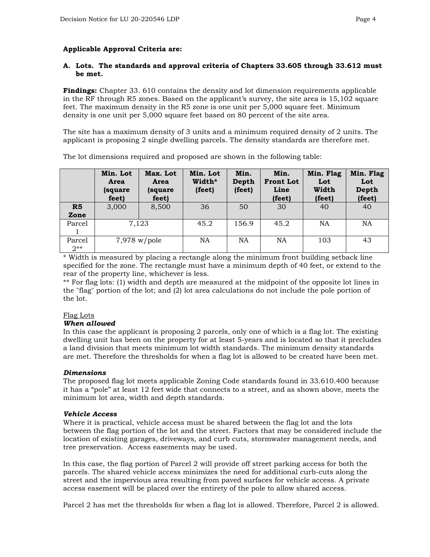#### **Applicable Approval Criteria are:**

#### **A. Lots. The standards and approval criteria of Chapters 33.605 through 33.612 must be met.**

**Findings:** Chapter 33. 610 contains the density and lot dimension requirements applicable in the RF through R5 zones. Based on the applicant's survey, the site area is 15,102 square feet. The maximum density in the R5 zone is one unit per 5,000 square feet. Minimum density is one unit per 5,000 square feet based on 80 percent of the site area.

The site has a maximum density of 3 units and a minimum required density of 2 units. The applicant is proposing 2 single dwelling parcels. The density standards are therefore met.

|                 | Min. Lot<br>Area<br>(square<br>feet) | Max. Lot<br>Area<br>(square)<br>feet) | Min. Lot<br>Width*<br>(feet) | Min.<br>Depth<br>(feet) | Min.<br><b>Front Lot</b><br>Line<br>(feet) | Min. Flag<br>Lot<br>Width<br>(feet) | Min. Flag<br>Lot<br>Depth<br>(feet) |
|-----------------|--------------------------------------|---------------------------------------|------------------------------|-------------------------|--------------------------------------------|-------------------------------------|-------------------------------------|
| R5<br>Zone      | 3,000                                | 8,500                                 | 36                           | 50                      | 30                                         | 40                                  | 40                                  |
| Parcel          |                                      | 7,123                                 | 45.2                         | 156.9                   | 45.2                                       | <b>NA</b>                           | NA                                  |
| Parcel<br>$2**$ |                                      | $7,978$ w/pole                        | <b>NA</b>                    | <b>NA</b>               | NA                                         | 103                                 | 43                                  |

The lot dimensions required and proposed are shown in the following table:

\* Width is measured by placing a rectangle along the minimum front building setback line specified for the zone. The rectangle must have a minimum depth of 40 feet, or extend to the rear of the property line, whichever is less.

\*\* For flag lots: (1) width and depth are measured at the midpoint of the opposite lot lines in the "flag" portion of the lot; and (2) lot area calculations do not include the pole portion of the lot.

#### Flag Lots

#### *When allowed*

In this case the applicant is proposing 2 parcels, only one of which is a flag lot. The existing dwelling unit has been on the property for at least 5-years and is located so that it precludes a land division that meets minimum lot width standards. The minimum density standards are met. Therefore the thresholds for when a flag lot is allowed to be created have been met.

#### *Dimensions*

The proposed flag lot meets applicable Zoning Code standards found in 33.610.400 because it has a "pole" at least 12 feet wide that connects to a street, and as shown above, meets the minimum lot area, width and depth standards.

#### *Vehicle Access*

Where it is practical, vehicle access must be shared between the flag lot and the lots between the flag portion of the lot and the street. Factors that may be considered include the location of existing garages, driveways, and curb cuts, stormwater management needs, and tree preservation. Access easements may be used.

In this case, the flag portion of Parcel 2 will provide off street parking access for both the parcels. The shared vehicle access minimizes the need for additional curb-cuts along the street and the impervious area resulting from paved surfaces for vehicle access. A private access easement will be placed over the entirety of the pole to allow shared access.

Parcel 2 has met the thresholds for when a flag lot is allowed. Therefore, Parcel 2 is allowed.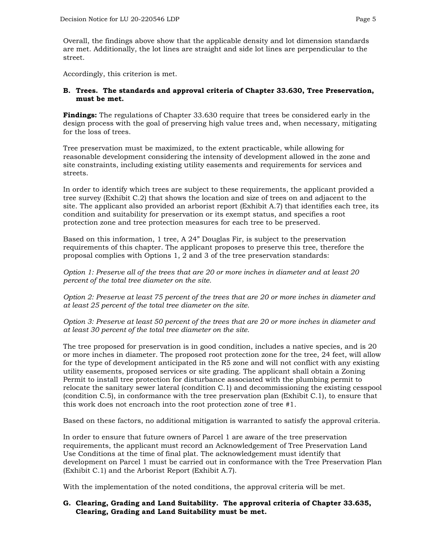Overall, the findings above show that the applicable density and lot dimension standards are met. Additionally, the lot lines are straight and side lot lines are perpendicular to the street.

Accordingly, this criterion is met.

#### **B. Trees. The standards and approval criteria of Chapter 33.630, Tree Preservation, must be met.**

**Findings:** The regulations of Chapter 33.630 require that trees be considered early in the design process with the goal of preserving high value trees and, when necessary, mitigating for the loss of trees.

Tree preservation must be maximized, to the extent practicable, while allowing for reasonable development considering the intensity of development allowed in the zone and site constraints, including existing utility easements and requirements for services and streets.

In order to identify which trees are subject to these requirements, the applicant provided a tree survey (Exhibit C.2) that shows the location and size of trees on and adjacent to the site. The applicant also provided an arborist report (Exhibit A.7) that identifies each tree, its condition and suitability for preservation or its exempt status, and specifies a root protection zone and tree protection measures for each tree to be preserved.

Based on this information, 1 tree, A 24" Douglas Fir, is subject to the preservation requirements of this chapter. The applicant proposes to preserve this tree, therefore the proposal complies with Options 1, 2 and 3 of the tree preservation standards:

*Option 1: Preserve all of the trees that are 20 or more inches in diameter and at least 20 percent of the total tree diameter on the site.* 

*Option 2: Preserve at least 75 percent of the trees that are 20 or more inches in diameter and at least 25 percent of the total tree diameter on the site.*

*Option 3: Preserve at least 50 percent of the trees that are 20 or more inches in diameter and at least 30 percent of the total tree diameter on the site.*

The tree proposed for preservation is in good condition, includes a native species, and is 20 or more inches in diameter. The proposed root protection zone for the tree, 24 feet, will allow for the type of development anticipated in the R5 zone and will not conflict with any existing utility easements, proposed services or site grading. The applicant shall obtain a Zoning Permit to install tree protection for disturbance associated with the plumbing permit to relocate the sanitary sewer lateral (condition C.1) and decommissioning the existing cesspool (condition C.5), in conformance with the tree preservation plan (Exhibit C.1), to ensure that this work does not encroach into the root protection zone of tree #1.

Based on these factors, no additional mitigation is warranted to satisfy the approval criteria.

In order to ensure that future owners of Parcel 1 are aware of the tree preservation requirements, the applicant must record an Acknowledgement of Tree Preservation Land Use Conditions at the time of final plat. The acknowledgement must identify that development on Parcel 1 must be carried out in conformance with the Tree Preservation Plan (Exhibit C.1) and the Arborist Report (Exhibit A.7).

With the implementation of the noted conditions, the approval criteria will be met.

#### **G. Clearing, Grading and Land Suitability. The approval criteria of Chapter 33.635, Clearing, Grading and Land Suitability must be met.**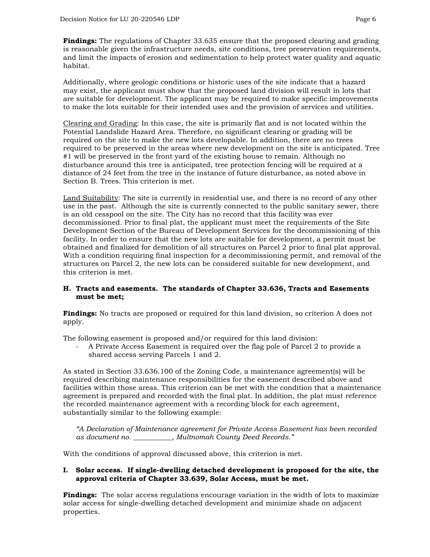**Findings:** The regulations of Chapter 33.635 ensure that the proposed clearing and grading is reasonable given the infrastructure needs, site conditions, tree preservation requirements, and limit the impacts of erosion and sedimentation to help protect water quality and aquatic habitat.

Additionally, where geologic conditions or historic uses of the site indicate that a hazard may exist, the applicant must show that the proposed land division will result in lots that are suitable for development. The applicant may be required to make specific improvements to make the lots suitable for their intended uses and the provision of services and utilities.

Clearing and Grading: In this case, the site is primarily flat and is not located within the Potential Landslide Hazard Area. Therefore, no significant clearing or grading will be required on the site to make the new lots developable. In addition, there are no trees required to be preserved in the areas where new development on the site is anticipated. Tree #1 will be preserved in the front yard of the existing house to remain. Although no disturbance around this tree is anticipated, tree protection fencing will be required at a distance of 24 feet from the tree in the instance of future disturbance, as noted above in Section B. Trees. This criterion is met.

Land Suitability: The site is currently in residential use, and there is no record of any other use in the past. Although the site is currently connected to the public sanitary sewer, there is an old cesspool on the site. The City has no record that this facility was ever decommissioned. Prior to final plat, the applicant must meet the requirements of the Site Development Section of the Bureau of Development Services for the decommissioning of this facility. In order to ensure that the new lots are suitable for development, a permit must be obtained and finalized for demolition of all structures on Parcel 2 prior to final plat approval. With a condition requiring final inspection for a decommissioning permit, and removal of the structures on Parcel 2, the new lots can be considered suitable for new development, and this criterion is met.

#### **H. Tracts and easements. The standards of Chapter 33.636, Tracts and Easements must be met;**

**Findings:** No tracts are proposed or required for this land division, so criterion A does not apply.

The following easement is proposed and/or required for this land division:

- A Private Access Easement is required over the flag pole of Parcel 2 to provide a shared access serving Parcels 1 and 2.

As stated in Section 33.636.100 of the Zoning Code, a maintenance agreement(s) will be required describing maintenance responsibilities for the easement described above and facilities within those areas. This criterion can be met with the condition that a maintenance agreement is prepared and recorded with the final plat. In addition, the plat must reference the recorded maintenance agreement with a recording block for each agreement, substantially similar to the following example:

*"A Declaration of Maintenance agreement for Private Access Easement has been recorded as document no. \_\_\_\_\_\_\_\_\_\_\_, Multnomah County Deed Records."*

With the conditions of approval discussed above, this criterion is met.

#### **I. Solar access. If single-dwelling detached development is proposed for the site, the approval criteria of Chapter 33.639, Solar Access, must be met.**

**Findings:** The solar access regulations encourage variation in the width of lots to maximize solar access for single-dwelling detached development and minimize shade on adjacent properties.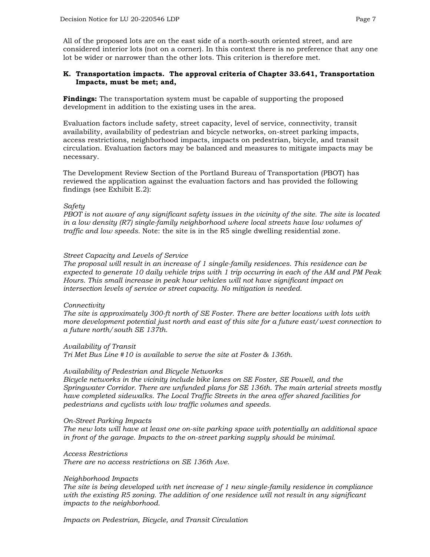All of the proposed lots are on the east side of a north-south oriented street, and are considered interior lots (not on a corner). In this context there is no preference that any one lot be wider or narrower than the other lots. This criterion is therefore met.

#### **K. Transportation impacts. The approval criteria of Chapter 33.641, Transportation Impacts, must be met; and,**

**Findings:** The transportation system must be capable of supporting the proposed development in addition to the existing uses in the area.

Evaluation factors include safety, street capacity, level of service, connectivity, transit availability, availability of pedestrian and bicycle networks, on-street parking impacts, access restrictions, neighborhood impacts, impacts on pedestrian, bicycle, and transit circulation. Evaluation factors may be balanced and measures to mitigate impacts may be necessary.

The Development Review Section of the Portland Bureau of Transportation (PBOT) has reviewed the application against the evaluation factors and has provided the following findings (see Exhibit E.2):

#### *Safety*

*PBOT is not aware of any significant safety issues in the vicinity of the site. The site is located in a low density (R7) single-family neighborhood where local streets have low volumes of traffic and low speeds.* Note: the site is in the R5 single dwelling residential zone.

#### *Street Capacity and Levels of Service*

*The proposal will result in an increase of 1 single-family residences. This residence can be expected to generate 10 daily vehicle trips with 1 trip occurring in each of the AM and PM Peak Hours. This small increase in peak hour vehicles will not have significant impact on intersection levels of service or street capacity. No mitigation is needed.*

#### *Connectivity*

*The site is approximately 300-ft north of SE Foster. There are better locations with lots with more development potential just north and east of this site for a future east/west connection to a future north/south SE 137th.* 

## *Availability of Transit*

*Tri Met Bus Line #10 is available to serve the site at Foster & 136th.* 

#### *Availability of Pedestrian and Bicycle Networks*

*Bicycle networks in the vicinity include bike lanes on SE Foster, SE Powell, and the Springwater Corridor. There are unfunded plans for SE 136th. The main arterial streets mostly have completed sidewalks. The Local Traffic Streets in the area offer shared facilities for pedestrians and cyclists with low traffic volumes and speeds.* 

#### *On-Street Parking Impacts*

*The new lots will have at least one on-site parking space with potentially an additional space in front of the garage. Impacts to the on-street parking supply should be minimal.*

#### *Access Restrictions*

*There are no access restrictions on SE 136th Ave.*

#### *Neighborhood Impacts*

*The site is being developed with net increase of 1 new single-family residence in compliance with the existing R5 zoning. The addition of one residence will not result in any significant impacts to the neighborhood.*

*Impacts on Pedestrian, Bicycle, and Transit Circulation*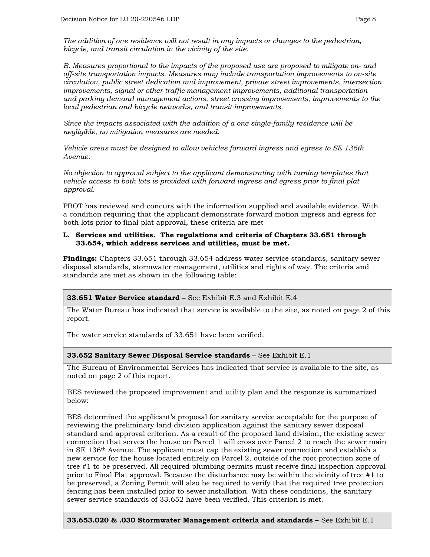*The addition of one residence will not result in any impacts or changes to the pedestrian, bicycle, and transit circulation in the vicinity of the site.*

*B. Measures proportional to the impacts of the proposed use are proposed to mitigate on- and off-site transportation impacts. Measures may include transportation improvements to on-site circulation, public street dedication and improvement, private street improvements, intersection improvements, signal or other traffic management improvements, additional transportation and parking demand management actions, street crossing improvements, improvements to the local pedestrian and bicycle networks, and transit improvements.*

*Since the impacts associated with the addition of a one single-family residence will be negligible, no mitigation measures are needed.* 

*Vehicle areas must be designed to allow vehicles forward ingress and egress to SE 136th Avenue.* 

*No objection to approval subject to the applicant demonstrating with turning templates that vehicle access to both lots is provided with forward ingress and egress prior to final plat approval.* 

PBOT has reviewed and concurs with the information supplied and available evidence. With a condition requiring that the applicant demonstrate forward motion ingress and egress for both lots prior to final plat approval, these criteria are met

#### **L. Services and utilities. The regulations and criteria of Chapters 33.651 through 33.654, which address services and utilities, must be met.**

**Findings:** Chapters 33.651 through 33.654 address water service standards, sanitary sewer disposal standards, stormwater management, utilities and rights of way. The criteria and standards are met as shown in the following table:

## **33.651 Water Service standard –** See Exhibit E.3 and Exhibit E.4

The Water Bureau has indicated that service is available to the site, as noted on page 2 of this report.

The water service standards of 33.651 have been verified.

#### **33.652 Sanitary Sewer Disposal Service standards** – See Exhibit E.1

The Bureau of Environmental Services has indicated that service is available to the site, as noted on page 2 of this report.

BES reviewed the proposed improvement and utility plan and the response is summarized below:

BES determined the applicant's proposal for sanitary service acceptable for the purpose of reviewing the preliminary land division application against the sanitary sewer disposal standard and approval criterion. As a result of the proposed land division, the existing sewer connection that serves the house on Parcel 1 will cross over Parcel 2 to reach the sewer main in SE 136th Avenue. The applicant must cap the existing sewer connection and establish a new service for the house located entirely on Parcel 2, outside of the root protection zone of tree #1 to be preserved. All required plumbing permits must receive final inspection approval prior to Final Plat approval. Because the disturbance may be within the vicinity of tree #1 to be preserved, a Zoning Permit will also be required to verify that the required tree protection fencing has been installed prior to sewer installation. With these conditions, the sanitary sewer service standards of 33.652 have been verified. This criterion is met.

**33.653.020 & .030 Stormwater Management criteria and standards –** See Exhibit E.1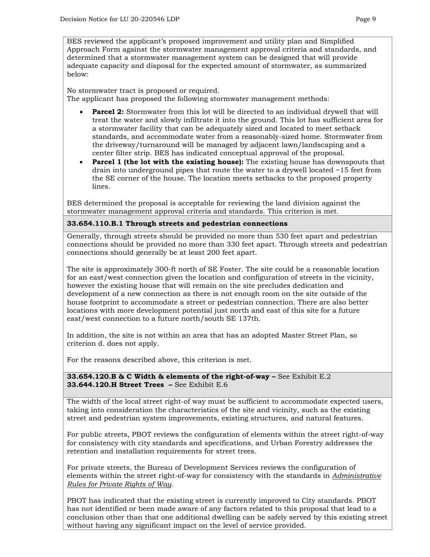BES reviewed the applicant's proposed improvement and utility plan and Simplified Approach Form against the stormwater management approval criteria and standards, and determined that a stormwater management system can be designed that will provide adequate capacity and disposal for the expected amount of stormwater, as summarized below:

No stormwater tract is proposed or required. The applicant has proposed the following stormwater management methods:

- **Parcel 2:** Stormwater from this lot will be directed to an individual drywell that will treat the water and slowly infiltrate it into the ground. This lot has sufficient area for a stormwater facility that can be adequately sized and located to meet setback standards, and accommodate water from a reasonably-sized home. Stormwater from the driveway/turnaround will be managed by adjacent lawn/landscaping and a center filter strip. BES has indicated conceptual approval of the proposal.
- **Parcel 1 (the lot with the existing house):** The existing house has downspouts that drain into underground pipes that route the water to a drywell located ~15 feet from the SE corner of the house. The location meets setbacks to the proposed property lines.

BES determined the proposal is acceptable for reviewing the land division against the stormwater management approval criteria and standards. This criterion is met.

#### **33.654.110.B.1 Through streets and pedestrian connections**

Generally, through streets should be provided no more than 530 feet apart and pedestrian connections should be provided no more than 330 feet apart. Through streets and pedestrian connections should generally be at least 200 feet apart.

The site is approximately 300-ft north of SE Foster. The site could be a reasonable location for an east/west connection given the location and configuration of streets in the vicinity, however the existing house that will remain on the site precludes dedication and development of a new connection as there is not enough room on the site outside of the house footprint to accommodate a street or pedestrian connection. There are also better locations with more development potential just north and east of this site for a future east/west connection to a future north/south SE 137th.

In addition, the site is not within an area that has an adopted Master Street Plan, so criterion d. does not apply.

For the reasons described above, this criterion is met.

**33.654.120.B & C Width & elements of the right-of-way –** See Exhibit E.2 **33.644.120.H Street Trees –** See Exhibit E.6

The width of the local street right-of way must be sufficient to accommodate expected users, taking into consideration the characteristics of the site and vicinity, such as the existing street and pedestrian system improvements, existing structures, and natural features.

For public streets, PBOT reviews the configuration of elements within the street right-of-way for consistency with city standards and specifications, and Urban Forestry addresses the retention and installation requirements for street trees.

For private streets, the Bureau of Development Services reviews the configuration of elements within the street right-of-way for consistency with the standards in *Administrative Rules for Private Rights of Way*.

PBOT has indicated that the existing street is currently improved to City standards. PBOT has not identified or been made aware of any factors related to this proposal that lead to a conclusion other than that one additional dwelling can be safely served by this existing street without having any significant impact on the level of service provided.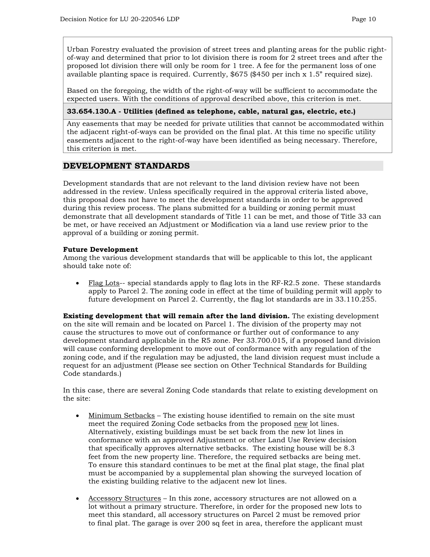Urban Forestry evaluated the provision of street trees and planting areas for the public rightof-way and determined that prior to lot division there is room for 2 street trees and after the proposed lot division there will only be room for 1 tree. A fee for the permanent loss of one available planting space is required. Currently, \$675 (\$450 per inch x 1.5" required size).

Based on the foregoing, the width of the right-of-way will be sufficient to accommodate the expected users. With the conditions of approval described above, this criterion is met.

#### **33.654.130.A - Utilities (defined as telephone, cable, natural gas, electric, etc.)**

Any easements that may be needed for private utilities that cannot be accommodated within the adjacent right-of-ways can be provided on the final plat. At this time no specific utility easements adjacent to the right-of-way have been identified as being necessary. Therefore, this criterion is met.

## **DEVELOPMENT STANDARDS**

Development standards that are not relevant to the land division review have not been addressed in the review. Unless specifically required in the approval criteria listed above, this proposal does not have to meet the development standards in order to be approved during this review process. The plans submitted for a building or zoning permit must demonstrate that all development standards of Title 11 can be met, and those of Title 33 can be met, or have received an Adjustment or Modification via a land use review prior to the approval of a building or zoning permit.

#### **Future Development**

Among the various development standards that will be applicable to this lot, the applicant should take note of:

• Flag Lots-- special standards apply to flag lots in the RF-R2.5 zone. These standards apply to Parcel 2. The zoning code in effect at the time of building permit will apply to future development on Parcel 2. Currently, the flag lot standards are in 33.110.255.

**Existing development that will remain after the land division.** The existing development on the site will remain and be located on Parcel 1. The division of the property may not cause the structures to move out of conformance or further out of conformance to any development standard applicable in the R5 zone. Per 33.700.015, if a proposed land division will cause conforming development to move out of conformance with any regulation of the zoning code, and if the regulation may be adjusted, the land division request must include a request for an adjustment (Please see section on Other Technical Standards for Building Code standards.)

In this case, there are several Zoning Code standards that relate to existing development on the site:

- Minimum Setbacks The existing house identified to remain on the site must meet the required Zoning Code setbacks from the proposed new lot lines. Alternatively, existing buildings must be set back from the new lot lines in conformance with an approved Adjustment or other Land Use Review decision that specifically approves alternative setbacks. The existing house will be 8.3 feet from the new property line. Therefore, the required setbacks are being met. To ensure this standard continues to be met at the final plat stage, the final plat must be accompanied by a supplemental plan showing the surveyed location of the existing building relative to the adjacent new lot lines.
- Accessory Structures In this zone, accessory structures are not allowed on a lot without a primary structure. Therefore, in order for the proposed new lots to meet this standard, all accessory structures on Parcel 2 must be removed prior to final plat. The garage is over 200 sq feet in area, therefore the applicant must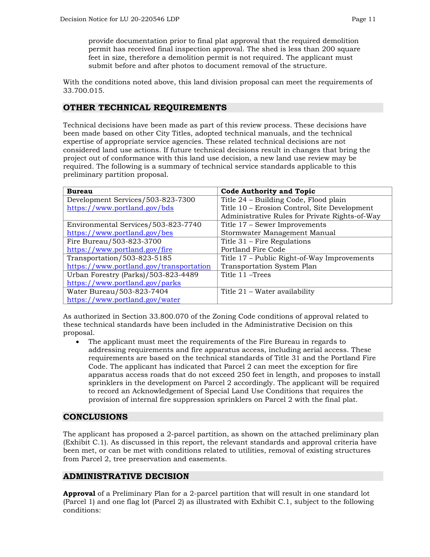provide documentation prior to final plat approval that the required demolition permit has received final inspection approval. The shed is less than 200 square feet in size, therefore a demolition permit is not required. The applicant must submit before and after photos to document removal of the structure.

With the conditions noted above, this land division proposal can meet the requirements of 33.700.015.

## **OTHER TECHNICAL REQUIREMENTS**

Technical decisions have been made as part of this review process. These decisions have been made based on other City Titles, adopted technical manuals, and the technical expertise of appropriate service agencies. These related technical decisions are not considered land use actions. If future technical decisions result in changes that bring the project out of conformance with this land use decision, a new land use review may be required. The following is a summary of technical service standards applicable to this preliminary partition proposal.

| <b>Bureau</b>                           | <b>Code Authority and Topic</b>                |
|-----------------------------------------|------------------------------------------------|
| Development Services/503-823-7300       | Title 24 - Building Code, Flood plain          |
| https://www.portland.gov/bds            | Title 10 - Erosion Control, Site Development   |
|                                         | Administrative Rules for Private Rights-of-Way |
| Environmental Services/503-823-7740     | Title 17 – Sewer Improvements                  |
| https://www.portland.gov/bes            | Stormwater Management Manual                   |
| Fire Bureau/503-823-3700                | Title 31 – Fire Regulations                    |
| https://www.portland.gov/fire           | Portland Fire Code                             |
| Transportation/503-823-5185             | Title 17 – Public Right-of-Way Improvements    |
| https://www.portland.gov/transportation | Transportation System Plan                     |
| Urban Forestry (Parks)/503-823-4489     | Title 11 - Trees                               |
| https://www.portland.gov/parks          |                                                |
| Water Bureau/503-823-7404               | Title $21$ – Water availability                |
| https://www.portland.gov/water          |                                                |

As authorized in Section 33.800.070 of the Zoning Code conditions of approval related to these technical standards have been included in the Administrative Decision on this proposal.

• The applicant must meet the requirements of the Fire Bureau in regards to addressing requirements and fire apparatus access, including aerial access. These requirements are based on the technical standards of Title 31 and the Portland Fire Code. The applicant has indicated that Parcel 2 can meet the exception for fire apparatus access roads that do not exceed 250 feet in length, and proposes to install sprinklers in the development on Parcel 2 accordingly. The applicant will be required to record an Acknowledgement of Special Land Use Conditions that requires the provision of internal fire suppression sprinklers on Parcel 2 with the final plat.

## **CONCLUSIONS**

The applicant has proposed a 2-parcel partition, as shown on the attached preliminary plan (Exhibit C.1). As discussed in this report, the relevant standards and approval criteria have been met, or can be met with conditions related to utilities, removal of existing structures from Parcel 2, tree preservation and easements.

## **ADMINISTRATIVE DECISION**

**Approval** of a Preliminary Plan for a 2-parcel partition that will result in one standard lot (Parcel 1) and one flag lot (Parcel 2) as illustrated with Exhibit C.1, subject to the following conditions: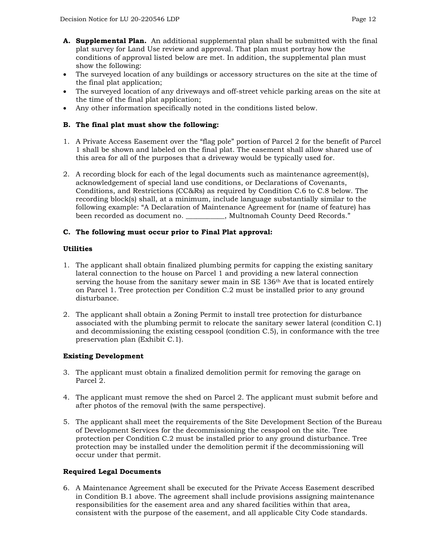- **A. Supplemental Plan.** An additional supplemental plan shall be submitted with the final plat survey for Land Use review and approval. That plan must portray how the conditions of approval listed below are met. In addition, the supplemental plan must show the following:
- The surveyed location of any buildings or accessory structures on the site at the time of the final plat application;
- The surveyed location of any driveways and off-street vehicle parking areas on the site at the time of the final plat application;
- Any other information specifically noted in the conditions listed below.

## **B. The final plat must show the following:**

- 1. A Private Access Easement over the "flag pole" portion of Parcel 2 for the benefit of Parcel 1 shall be shown and labeled on the final plat. The easement shall allow shared use of this area for all of the purposes that a driveway would be typically used for.
- 2. A recording block for each of the legal documents such as maintenance agreement(s), acknowledgement of special land use conditions, or Declarations of Covenants, Conditions, and Restrictions (CC&Rs) as required by Condition C.6 to C.8 below. The recording block(s) shall, at a minimum, include language substantially similar to the following example: "A Declaration of Maintenance Agreement for (name of feature) has been recorded as document no. \_\_\_\_\_\_\_\_\_\_\_, Multnomah County Deed Records."

## **C. The following must occur prior to Final Plat approval:**

#### **Utilities**

- 1. The applicant shall obtain finalized plumbing permits for capping the existing sanitary lateral connection to the house on Parcel 1 and providing a new lateral connection serving the house from the sanitary sewer main in  $SE 136<sup>th</sup>$  Ave that is located entirely on Parcel 1. Tree protection per Condition C.2 must be installed prior to any ground disturbance.
- 2. The applicant shall obtain a Zoning Permit to install tree protection for disturbance associated with the plumbing permit to relocate the sanitary sewer lateral (condition C.1) and decommissioning the existing cesspool (condition C.5), in conformance with the tree preservation plan (Exhibit C.1).

## **Existing Development**

- 3. The applicant must obtain a finalized demolition permit for removing the garage on Parcel 2.
- 4. The applicant must remove the shed on Parcel 2. The applicant must submit before and after photos of the removal (with the same perspective).
- 5. The applicant shall meet the requirements of the Site Development Section of the Bureau of Development Services for the decommissioning the cesspool on the site. Tree protection per Condition C.2 must be installed prior to any ground disturbance. Tree protection may be installed under the demolition permit if the decommissioning will occur under that permit.

#### **Required Legal Documents**

6. A Maintenance Agreement shall be executed for the Private Access Easement described in Condition B.1 above. The agreement shall include provisions assigning maintenance responsibilities for the easement area and any shared facilities within that area, consistent with the purpose of the easement, and all applicable City Code standards.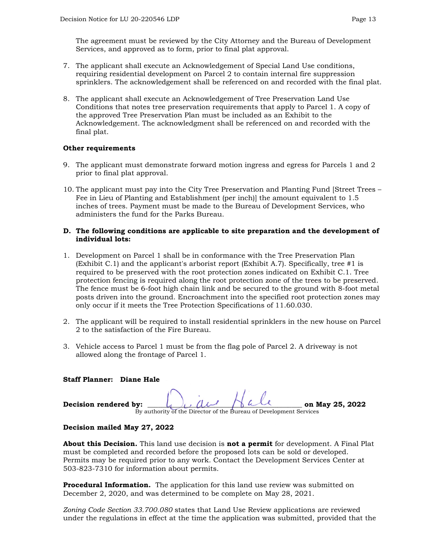The agreement must be reviewed by the City Attorney and the Bureau of Development Services, and approved as to form, prior to final plat approval.

- 7. The applicant shall execute an Acknowledgement of Special Land Use conditions, requiring residential development on Parcel 2 to contain internal fire suppression sprinklers. The acknowledgement shall be referenced on and recorded with the final plat.
- 8. The applicant shall execute an Acknowledgement of Tree Preservation Land Use Conditions that notes tree preservation requirements that apply to Parcel 1. A copy of the approved Tree Preservation Plan must be included as an Exhibit to the Acknowledgement. The acknowledgment shall be referenced on and recorded with the final plat.

#### **Other requirements**

- 9. The applicant must demonstrate forward motion ingress and egress for Parcels 1 and 2 prior to final plat approval.
- 10. The applicant must pay into the City Tree Preservation and Planting Fund [Street Trees Fee in Lieu of Planting and Establishment (per inch)] the amount equivalent to 1.5 inches of trees. Payment must be made to the Bureau of Development Services, who administers the fund for the Parks Bureau.

#### **D. The following conditions are applicable to site preparation and the development of individual lots:**

- 1. Development on Parcel 1 shall be in conformance with the Tree Preservation Plan (Exhibit C.1) and the applicant's arborist report (Exhibit A.7). Specifically, tree #1 is required to be preserved with the root protection zones indicated on Exhibit C.1. Tree protection fencing is required along the root protection zone of the trees to be preserved. The fence must be 6-foot high chain link and be secured to the ground with 8-foot metal posts driven into the ground. Encroachment into the specified root protection zones may only occur if it meets the Tree Protection Specifications of 11.60.030.
- 2. The applicant will be required to install residential sprinklers in the new house on Parcel 2 to the satisfaction of the Fire Bureau.
- 3. Vehicle access to Parcel 1 must be from the flag pole of Parcel 2. A driveway is not allowed along the frontage of Parcel 1.

#### **Staff Planner: Diane Hale**

| Decision rendered by: |                                                                    | on May 25, 2022 |
|-----------------------|--------------------------------------------------------------------|-----------------|
|                       | By authority of the Director of the Bureau of Development Services |                 |

#### **Decision mailed May 27, 2022**

**About this Decision.** This land use decision is **not a permit** for development. A Final Plat must be completed and recorded before the proposed lots can be sold or developed. Permits may be required prior to any work. Contact the Development Services Center at 503-823-7310 for information about permits.

**Procedural Information.** The application for this land use review was submitted on December 2, 2020, and was determined to be complete on May 28, 2021.

*Zoning Code Section 33.700.080* states that Land Use Review applications are reviewed under the regulations in effect at the time the application was submitted, provided that the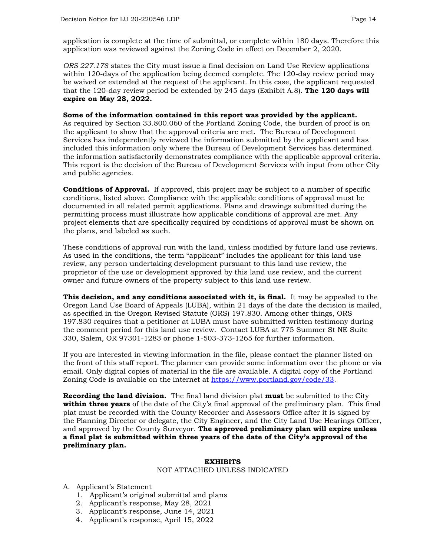application is complete at the time of submittal, or complete within 180 days. Therefore this application was reviewed against the Zoning Code in effect on December 2, 2020.

*ORS 227.178* states the City must issue a final decision on Land Use Review applications within 120-days of the application being deemed complete. The 120-day review period may be waived or extended at the request of the applicant. In this case, the applicant requested that the 120-day review period be extended by 245 days (Exhibit A.8). **The 120 days will expire on May 28, 2022.**

#### **Some of the information contained in this report was provided by the applicant.**

As required by Section 33.800.060 of the Portland Zoning Code, the burden of proof is on the applicant to show that the approval criteria are met. The Bureau of Development Services has independently reviewed the information submitted by the applicant and has included this information only where the Bureau of Development Services has determined the information satisfactorily demonstrates compliance with the applicable approval criteria. This report is the decision of the Bureau of Development Services with input from other City and public agencies.

**Conditions of Approval.** If approved, this project may be subject to a number of specific conditions, listed above. Compliance with the applicable conditions of approval must be documented in all related permit applications. Plans and drawings submitted during the permitting process must illustrate how applicable conditions of approval are met. Any project elements that are specifically required by conditions of approval must be shown on the plans, and labeled as such.

These conditions of approval run with the land, unless modified by future land use reviews. As used in the conditions, the term "applicant" includes the applicant for this land use review, any person undertaking development pursuant to this land use review, the proprietor of the use or development approved by this land use review, and the current owner and future owners of the property subject to this land use review.

**This decision, and any conditions associated with it, is final.** It may be appealed to the Oregon Land Use Board of Appeals (LUBA), within 21 days of the date the decision is mailed, as specified in the Oregon Revised Statute (ORS) 197.830. Among other things, ORS 197.830 requires that a petitioner at LUBA must have submitted written testimony during the comment period for this land use review. Contact LUBA at 775 Summer St NE Suite 330, Salem, OR 97301-1283 or phone 1-503-373-1265 for further information.

If you are interested in viewing information in the file, please contact the planner listed on the front of this staff report. The planner can provide some information over the phone or via email. Only digital copies of material in the file are available. A digital copy of the Portland Zoning Code is available on the internet at [https://www.portland.gov/code/33.](https://www.portland.gov/code/33)

**Recording the land division.** The final land division plat **must** be submitted to the City **within three years** of the date of the City's final approval of the preliminary plan. This final plat must be recorded with the County Recorder and Assessors Office after it is signed by the Planning Director or delegate, the City Engineer, and the City Land Use Hearings Officer, and approved by the County Surveyor. **The approved preliminary plan will expire unless a final plat is submitted within three years of the date of the City's approval of the preliminary plan.**

#### **EXHIBITS**

#### NOT ATTACHED UNLESS INDICATED

- A. Applicant's Statement
	- 1. Applicant's original submittal and plans
	- 2. Applicant's response, May 28, 2021
	- 3. Applicant's response, June 14, 2021
	- 4. Applicant's response, April 15, 2022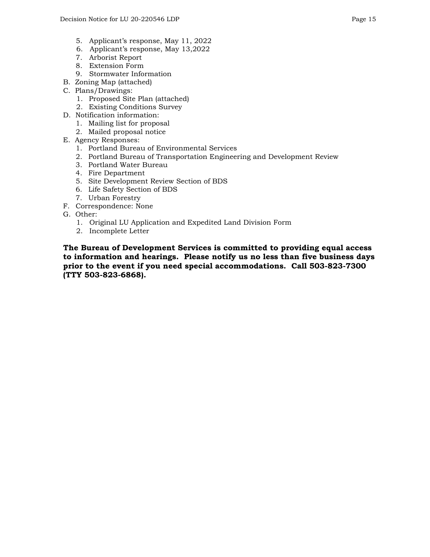- 5. Applicant's response, May 11, 2022
- 6. Applicant's response, May 13,2022
- 7. Arborist Report
- 8. Extension Form
- 9. Stormwater Information
- B. Zoning Map (attached)
- C. Plans/Drawings:
	- 1. Proposed Site Plan (attached)
	- 2. Existing Conditions Survey
- D. Notification information:
	- 1. Mailing list for proposal
	- 2. Mailed proposal notice
- E. Agency Responses:
	- 1. Portland Bureau of Environmental Services
	- 2. Portland Bureau of Transportation Engineering and Development Review
	- 3. Portland Water Bureau
	- 4. Fire Department
	- 5. Site Development Review Section of BDS
	- 6. Life Safety Section of BDS
	- 7. Urban Forestry
- F. Correspondence: None
- G. Other:
	- 1. Original LU Application and Expedited Land Division Form
	- 2. Incomplete Letter

**The Bureau of Development Services is committed to providing equal access to information and hearings. Please notify us no less than five business days prior to the event if you need special accommodations. Call 503-823-7300 (TTY 503-823-6868).**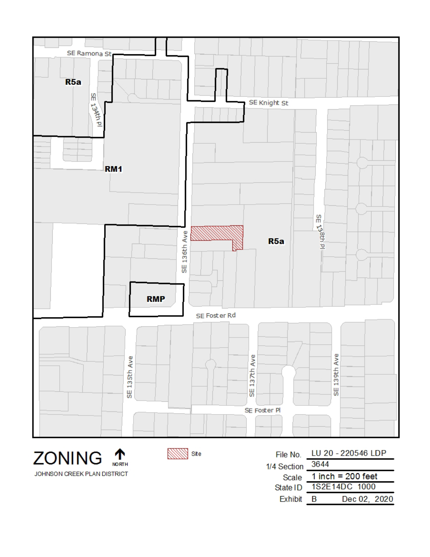

个 **ZONING NORTH** JOHNSON CREEK PLAN DISTRICT SMW Site

File No. LU 20 - 220546 LDP 3644 1/4 Section  $1$  inch = 200 feet Scale 1S2E14DC 1000 State ID Exhibit B Dec 02, 2020